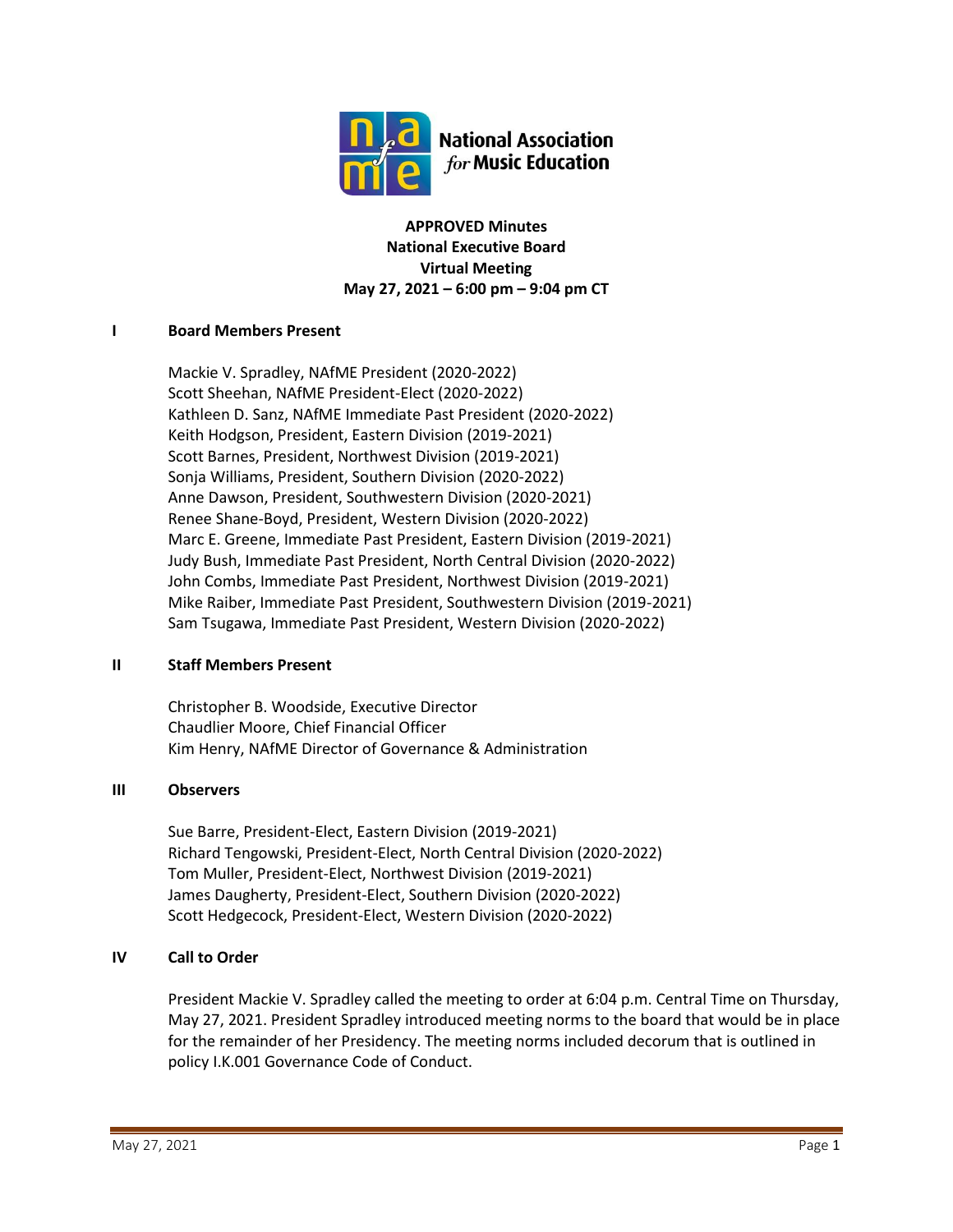

**APPROVED Minutes National Executive Board Virtual Meeting May 27, 2021 – 6:00 pm – 9:04 pm CT**

### **I Board Members Present**

Mackie V. Spradley, NAfME President (2020-2022) Scott Sheehan, NAfME President-Elect (2020-2022) Kathleen D. Sanz, NAfME Immediate Past President (2020-2022) Keith Hodgson, President, Eastern Division (2019-2021) Scott Barnes, President, Northwest Division (2019-2021) Sonja Williams, President, Southern Division (2020-2022) Anne Dawson, President, Southwestern Division (2020-2021) Renee Shane-Boyd, President, Western Division (2020-2022) Marc E. Greene, Immediate Past President, Eastern Division (2019-2021) Judy Bush, Immediate Past President, North Central Division (2020-2022) John Combs, Immediate Past President, Northwest Division (2019-2021) Mike Raiber, Immediate Past President, Southwestern Division (2019-2021) Sam Tsugawa, Immediate Past President, Western Division (2020-2022)

### **II Staff Members Present**

Christopher B. Woodside, Executive Director Chaudlier Moore, Chief Financial Officer Kim Henry, NAfME Director of Governance & Administration

### **III Observers**

Sue Barre, President-Elect, Eastern Division (2019-2021) Richard Tengowski, President-Elect, North Central Division (2020-2022) Tom Muller, President-Elect, Northwest Division (2019-2021) James Daugherty, President-Elect, Southern Division (2020-2022) Scott Hedgecock, President-Elect, Western Division (2020-2022)

# **IV Call to Order**

President Mackie V. Spradley called the meeting to order at 6:04 p.m. Central Time on Thursday, May 27, 2021. President Spradley introduced meeting norms to the board that would be in place for the remainder of her Presidency. The meeting norms included decorum that is outlined in policy I.K.001 Governance Code of Conduct.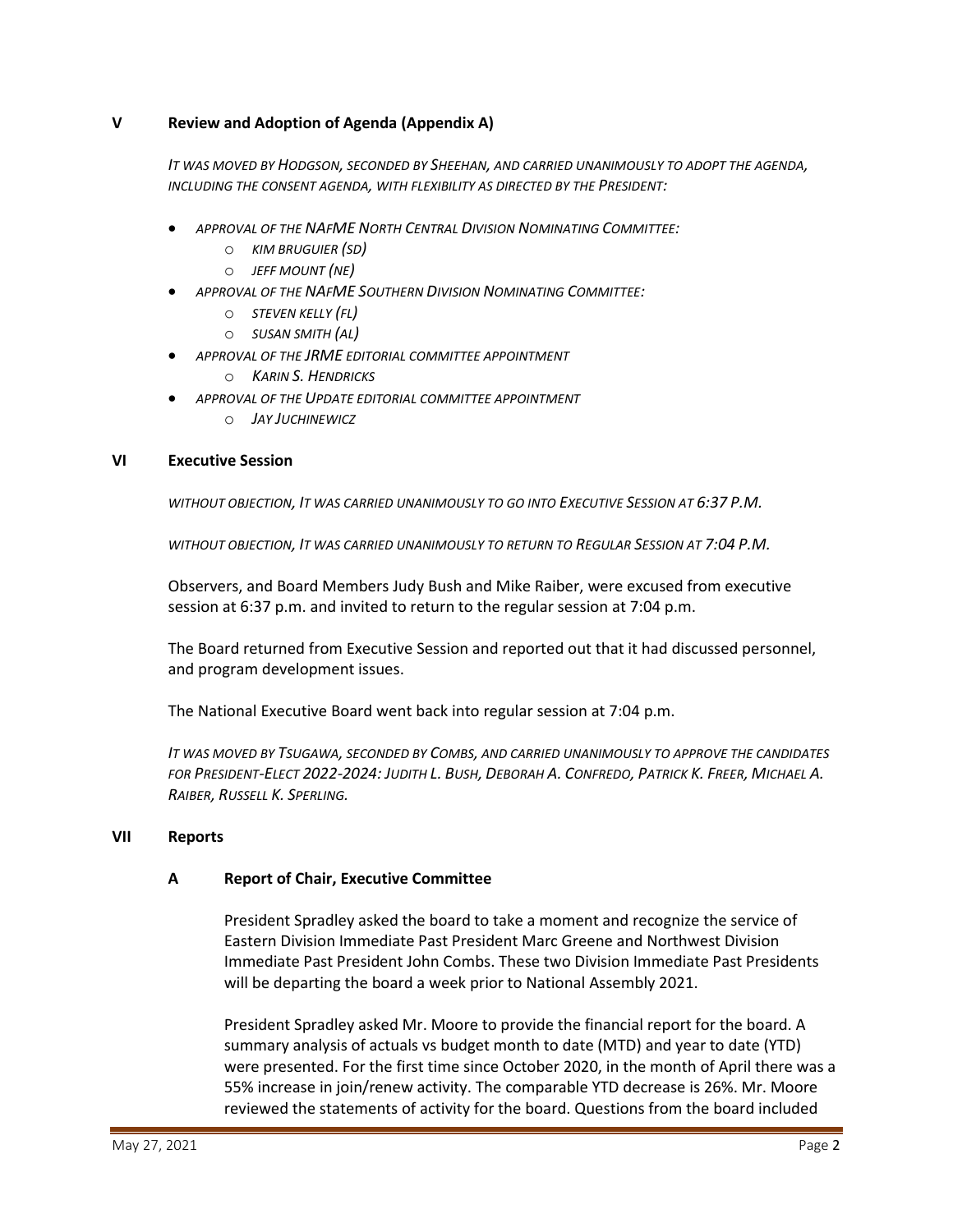### **V Review and Adoption of Agenda (Appendix A)**

*IT WAS MOVED BY HODGSON, SECONDED BY SHEEHAN, AND CARRIED UNANIMOUSLY TO ADOPT THE AGENDA, INCLUDING THE CONSENT AGENDA, WITH FLEXIBILITY AS DIRECTED BY THE PRESIDENT:*

- *APPROVAL OF THE NAFME NORTH CENTRAL DIVISION NOMINATING COMMITTEE:*
	- o *KIM BRUGUIER (SD)*
	- o *JEFF MOUNT (NE)*
- *APPROVAL OF THE NAFME SOUTHERN DIVISION NOMINATING COMMITTEE:*
	- o *STEVEN KELLY (FL)*
	- o *SUSAN SMITH (AL)*
	- *APPROVAL OF THE JRME EDITORIAL COMMITTEE APPOINTMENT*
		- o *KARIN S. HENDRICKS*
- *APPROVAL OF THE UPDATE EDITORIAL COMMITTEE APPOINTMENT*
	- o *JAY JUCHINEWICZ*

#### **VI Executive Session**

*WITHOUT OBJECTION, IT WAS CARRIED UNANIMOUSLY TO GO INTO EXECUTIVE SESSION AT 6:37 P.M.*

*WITHOUT OBJECTION, IT WAS CARRIED UNANIMOUSLY TO RETURN TO REGULAR SESSION AT 7:04 P.M.*

Observers, and Board Members Judy Bush and Mike Raiber, were excused from executive session at 6:37 p.m. and invited to return to the regular session at 7:04 p.m.

The Board returned from Executive Session and reported out that it had discussed personnel, and program development issues.

The National Executive Board went back into regular session at 7:04 p.m.

*IT WAS MOVED BY TSUGAWA, SECONDED BY COMBS, AND CARRIED UNANIMOUSLY TO APPROVE THE CANDIDATES*  FOR PRESIDENT-ELECT 2022-2024: JUDITH L. BUSH, DEBORAH A. CONFREDO, PATRICK K. FREER, MICHAEL A. *RAIBER, RUSSELL K. SPERLING.*

#### **VII Reports**

#### **A Report of Chair, Executive Committee**

President Spradley asked the board to take a moment and recognize the service of Eastern Division Immediate Past President Marc Greene and Northwest Division Immediate Past President John Combs. These two Division Immediate Past Presidents will be departing the board a week prior to National Assembly 2021.

President Spradley asked Mr. Moore to provide the financial report for the board. A summary analysis of actuals vs budget month to date (MTD) and year to date (YTD) were presented. For the first time since October 2020, in the month of April there was a 55% increase in join/renew activity. The comparable YTD decrease is 26%. Mr. Moore reviewed the statements of activity for the board. Questions from the board included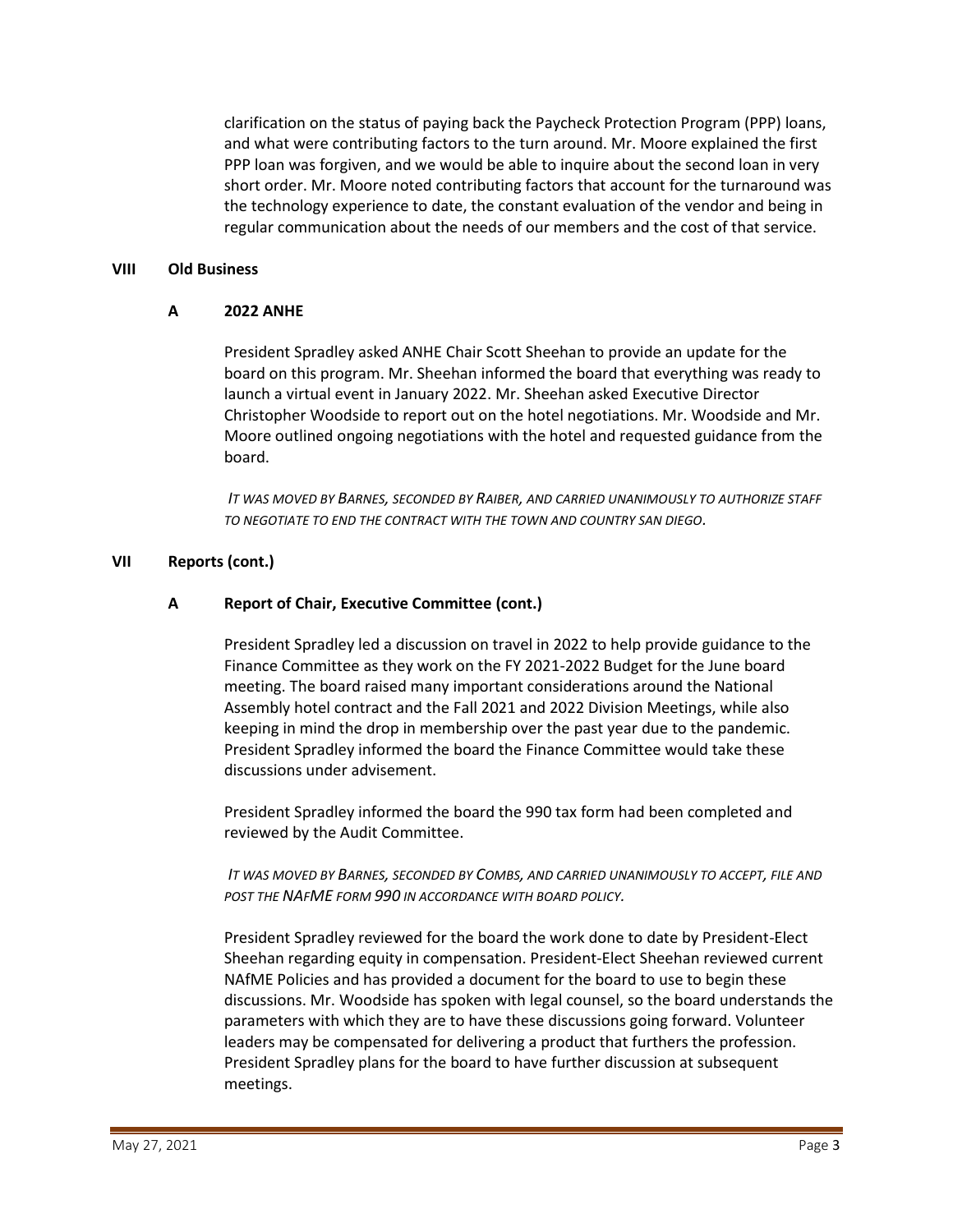clarification on the status of paying back the Paycheck Protection Program (PPP) loans, and what were contributing factors to the turn around. Mr. Moore explained the first PPP loan was forgiven, and we would be able to inquire about the second loan in very short order. Mr. Moore noted contributing factors that account for the turnaround was the technology experience to date, the constant evaluation of the vendor and being in regular communication about the needs of our members and the cost of that service.

#### **VIII Old Business**

#### **A 2022 ANHE**

President Spradley asked ANHE Chair Scott Sheehan to provide an update for the board on this program. Mr. Sheehan informed the board that everything was ready to launch a virtual event in January 2022. Mr. Sheehan asked Executive Director Christopher Woodside to report out on the hotel negotiations. Mr. Woodside and Mr. Moore outlined ongoing negotiations with the hotel and requested guidance from the board.

*IT WAS MOVED BY BARNES, SECONDED BY RAIBER, AND CARRIED UNANIMOUSLY TO AUTHORIZE STAFF TO NEGOTIATE TO END THE CONTRACT WITH THE TOWN AND COUNTRY SAN DIEGO.*

#### **VII Reports (cont.)**

#### **A Report of Chair, Executive Committee (cont.)**

President Spradley led a discussion on travel in 2022 to help provide guidance to the Finance Committee as they work on the FY 2021-2022 Budget for the June board meeting. The board raised many important considerations around the National Assembly hotel contract and the Fall 2021 and 2022 Division Meetings, while also keeping in mind the drop in membership over the past year due to the pandemic. President Spradley informed the board the Finance Committee would take these discussions under advisement.

President Spradley informed the board the 990 tax form had been completed and reviewed by the Audit Committee.

*IT WAS MOVED BY BARNES, SECONDED BY COMBS, AND CARRIED UNANIMOUSLY TO ACCEPT, FILE AND POST THE NAFME FORM 990 IN ACCORDANCE WITH BOARD POLICY.*

President Spradley reviewed for the board the work done to date by President-Elect Sheehan regarding equity in compensation. President-Elect Sheehan reviewed current NAfME Policies and has provided a document for the board to use to begin these discussions. Mr. Woodside has spoken with legal counsel, so the board understands the parameters with which they are to have these discussions going forward. Volunteer leaders may be compensated for delivering a product that furthers the profession. President Spradley plans for the board to have further discussion at subsequent meetings.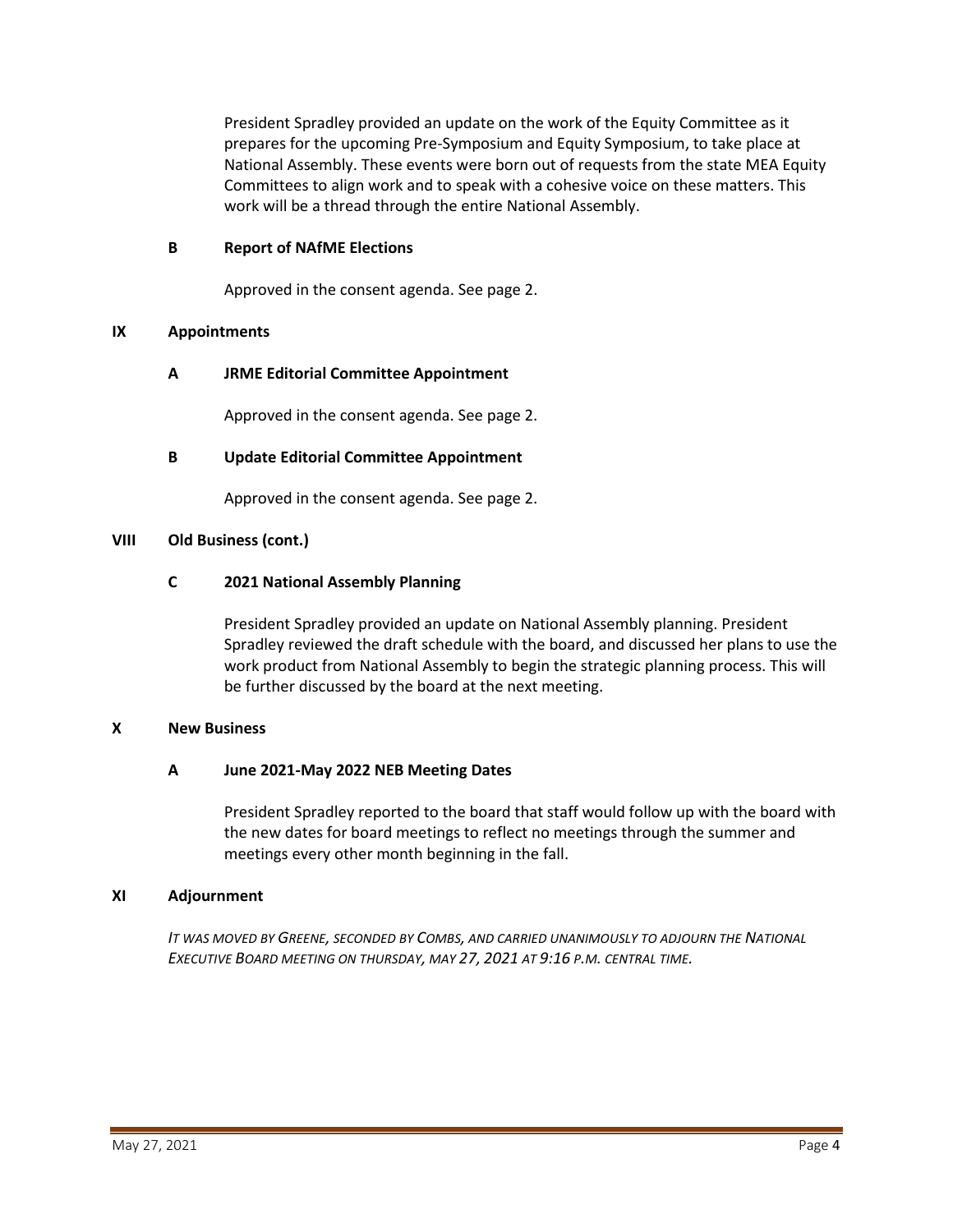President Spradley provided an update on the work of the Equity Committee as it prepares for the upcoming Pre-Symposium and Equity Symposium, to take place at National Assembly. These events were born out of requests from the state MEA Equity Committees to align work and to speak with a cohesive voice on these matters. This work will be a thread through the entire National Assembly.

### **B Report of NAfME Elections**

Approved in the consent agenda. See page 2.

### **IX Appointments**

# **A JRME Editorial Committee Appointment**

Approved in the consent agenda. See page 2.

# **B Update Editorial Committee Appointment**

Approved in the consent agenda. See page 2.

### **VIII Old Business (cont.)**

### **C 2021 National Assembly Planning**

President Spradley provided an update on National Assembly planning. President Spradley reviewed the draft schedule with the board, and discussed her plans to use the work product from National Assembly to begin the strategic planning process. This will be further discussed by the board at the next meeting.

### **X New Business**

### **A June 2021-May 2022 NEB Meeting Dates**

President Spradley reported to the board that staff would follow up with the board with the new dates for board meetings to reflect no meetings through the summer and meetings every other month beginning in the fall.

### **XI Adjournment**

*IT WAS MOVED BY GREENE, SECONDED BY COMBS, AND CARRIED UNANIMOUSLY TO ADJOURN THE NATIONAL EXECUTIVE BOARD MEETING ON THURSDAY, MAY 27, 2021 AT 9:16 P.M. CENTRAL TIME.*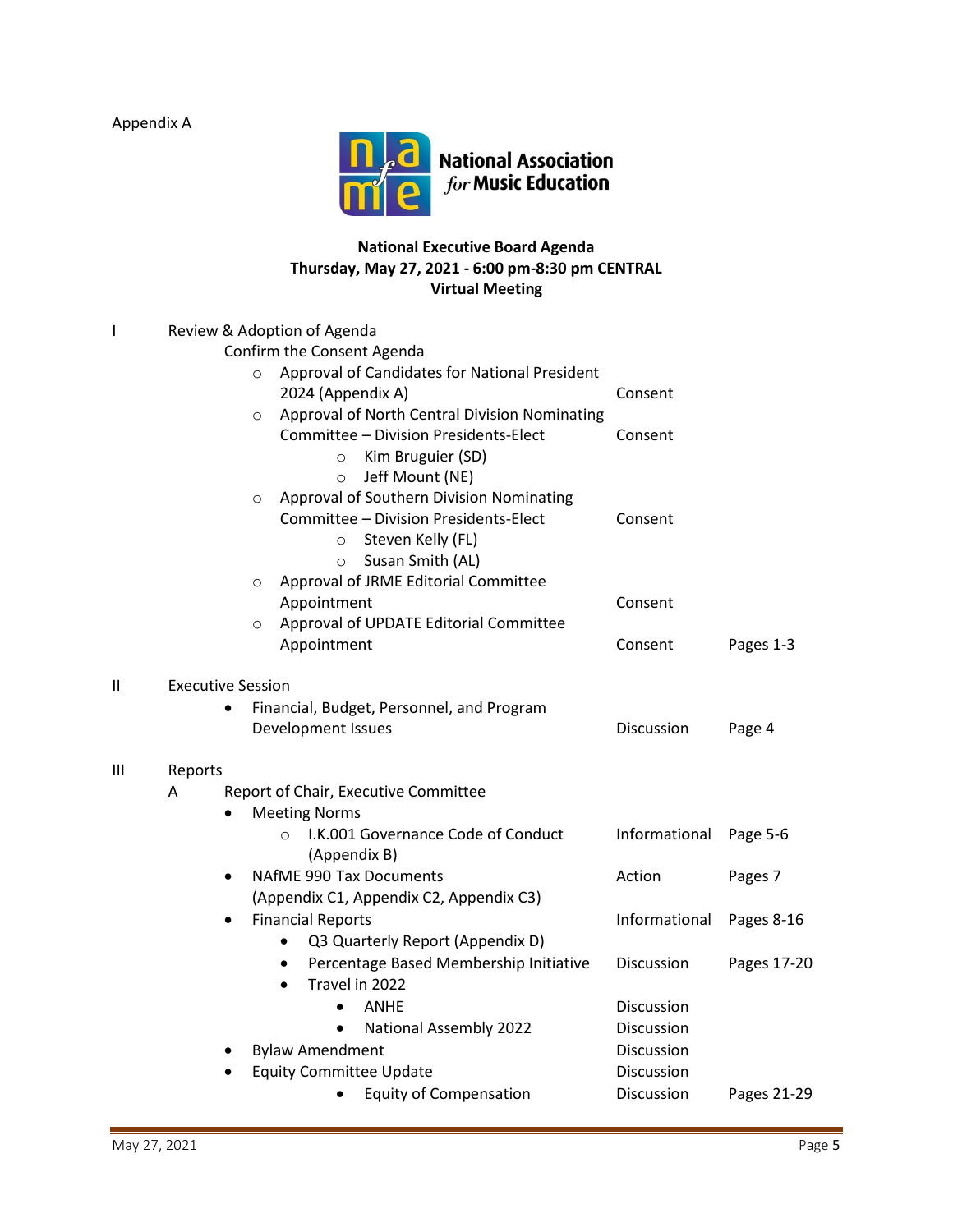Appendix A



# **National Executive Board Agenda Thursday, May 27, 2021 - 6:00 pm-8:30 pm CENTRAL Virtual Meeting**

|    |                          | Review & Adoption of Agenda                              |               |             |
|----|--------------------------|----------------------------------------------------------|---------------|-------------|
|    |                          | Confirm the Consent Agenda                               |               |             |
|    |                          | Approval of Candidates for National President<br>$\circ$ |               |             |
|    |                          | 2024 (Appendix A)                                        | Consent       |             |
|    |                          | Approval of North Central Division Nominating<br>$\circ$ |               |             |
|    |                          | Committee - Division Presidents-Elect                    | Consent       |             |
|    |                          | Kim Bruguier (SD)<br>$\circ$                             |               |             |
|    |                          | Jeff Mount (NE)<br>$\circ$                               |               |             |
|    |                          | Approval of Southern Division Nominating<br>$\circ$      |               |             |
|    |                          | Committee - Division Presidents-Elect                    | Consent       |             |
|    |                          | Steven Kelly (FL)<br>$\circ$                             |               |             |
|    |                          | Susan Smith (AL)<br>$\circ$                              |               |             |
|    |                          | Approval of JRME Editorial Committee<br>$\circ$          |               |             |
|    |                          | Appointment                                              | Consent       |             |
|    |                          | Approval of UPDATE Editorial Committee<br>$\circ$        |               |             |
|    |                          | Appointment                                              | Consent       | Pages 1-3   |
| II | <b>Executive Session</b> |                                                          |               |             |
|    |                          | Financial, Budget, Personnel, and Program                |               |             |
|    |                          | Development Issues                                       | Discussion    | Page 4      |
| Ш  | Reports                  |                                                          |               |             |
|    | A                        | Report of Chair, Executive Committee                     |               |             |
|    | $\bullet$                | <b>Meeting Norms</b>                                     |               |             |
|    |                          | I.K.001 Governance Code of Conduct                       | Informational | Page 5-6    |
|    |                          | (Appendix B)                                             |               |             |
|    |                          | NAfME 990 Tax Documents                                  | Action        | Pages 7     |
|    |                          | (Appendix C1, Appendix C2, Appendix C3)                  |               |             |
|    |                          | <b>Financial Reports</b>                                 | Informational | Pages 8-16  |
|    |                          | Q3 Quarterly Report (Appendix D)<br>$\bullet$            |               |             |
|    |                          | Percentage Based Membership Initiative<br>$\bullet$      | Discussion    | Pages 17-20 |
|    |                          | Travel in 2022<br>$\bullet$                              |               |             |
|    |                          | <b>ANHE</b><br>$\bullet$                                 | Discussion    |             |
|    |                          | <b>National Assembly 2022</b><br>$\bullet$               | Discussion    |             |
|    | ٠                        | <b>Bylaw Amendment</b>                                   | Discussion    |             |
|    |                          | <b>Equity Committee Update</b>                           | Discussion    |             |
|    |                          | <b>Equity of Compensation</b><br>$\bullet$               | Discussion    | Pages 21-29 |